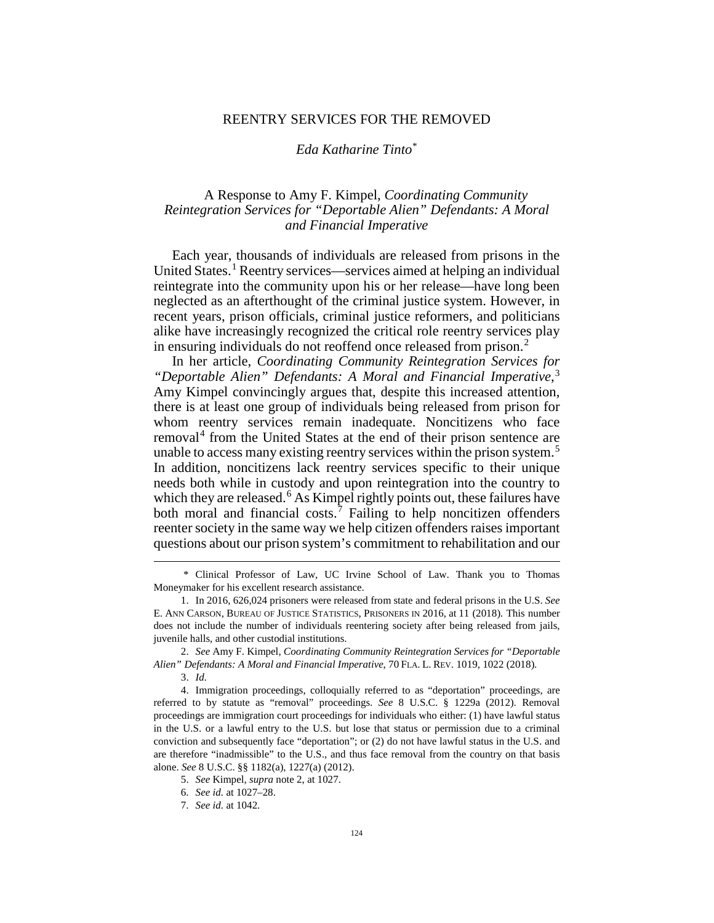## REENTRY SERVICES FOR THE REMOVED

## <span id="page-0-0"></span>*Eda Katharine Tinto*[\\*](#page-0-1)

## A Response to Amy F. Kimpel, *Coordinating Community Reintegration Services for "Deportable Alien" Defendants: A Moral and Financial Imperative*

Each year, thousands of individuals are released from prisons in the United States.<sup>[1](#page-0-2)</sup> Reentry services—services aimed at helping an individual reintegrate into the community upon his or her release—have long been neglected as an afterthought of the criminal justice system. However, in recent years, prison officials, criminal justice reformers, and politicians alike have increasingly recognized the critical role reentry services play in ensuring individuals do not reoffend once released from prison.<sup>[2](#page-0-3)</sup>

In her article, *Coordinating Community Reintegration Services for "Deportable Alien" Defendants: A Moral and Financial Imperative*, [3](#page-0-4) Amy Kimpel convincingly argues that, despite this increased attention, there is at least one group of individuals being released from prison for whom reentry services remain inadequate. Noncitizens who face removal<sup>[4](#page-0-5)</sup> from the United States at the end of their prison sentence are unable to access many existing reentry services within the prison system.<sup>[5](#page-0-6)</sup> In addition, noncitizens lack reentry services specific to their unique needs both while in custody and upon reintegration into the country to which they are released.<sup>[6](#page-0-7)</sup> As Kimpel rightly points out, these failures have both moral and financial costs.<sup>[7](#page-0-8)</sup> Failing to help noncitizen offenders reenter society in the same way we help citizen offenders raises important questions about our prison system's commitment to rehabilitation and our

3. *Id.* 

<span id="page-0-1"></span> <sup>\*</sup> Clinical Professor of Law, UC Irvine School of Law. Thank you to Thomas Moneymaker for his excellent research assistance.

<span id="page-0-2"></span><sup>1.</sup> In 2016, 626,024 prisoners were released from state and federal prisons in the U.S. *See*  E. ANN CARSON, BUREAU OF JUSTICE STATISTICS, PRISONERS IN 2016, at 11 (2018). This number does not include the number of individuals reentering society after being released from jails, juvenile halls, and other custodial institutions.

<span id="page-0-3"></span><sup>2.</sup> *See* Amy F. Kimpel, *Coordinating Community Reintegration Services for "Deportable Alien" Defendants: A Moral and Financial Imperative*, 70 FLA. L. REV. 1019, 1022 (2018).

<span id="page-0-6"></span><span id="page-0-5"></span><span id="page-0-4"></span><sup>4.</sup> Immigration proceedings, colloquially referred to as "deportation" proceedings, are referred to by statute as "removal" proceedings. *See* 8 U.S.C. § 1229a (2012). Removal proceedings are immigration court proceedings for individuals who either: (1) have lawful status in the U.S. or a lawful entry to the U.S. but lose that status or permission due to a criminal conviction and subsequently face "deportation"; or (2) do not have lawful status in the U.S. and are therefore "inadmissible" to the U.S., and thus face removal from the country on that basis alone. *See* 8 U.S.C. §§ 1182(a), 1227(a) (2012).

<sup>5.</sup> *See* Kimpel, *supra* not[e 2,](#page-0-0) at 1027.

<span id="page-0-8"></span><span id="page-0-7"></span><sup>6.</sup> *See id.* at 1027–28.

<sup>7.</sup> *See id.* at 1042.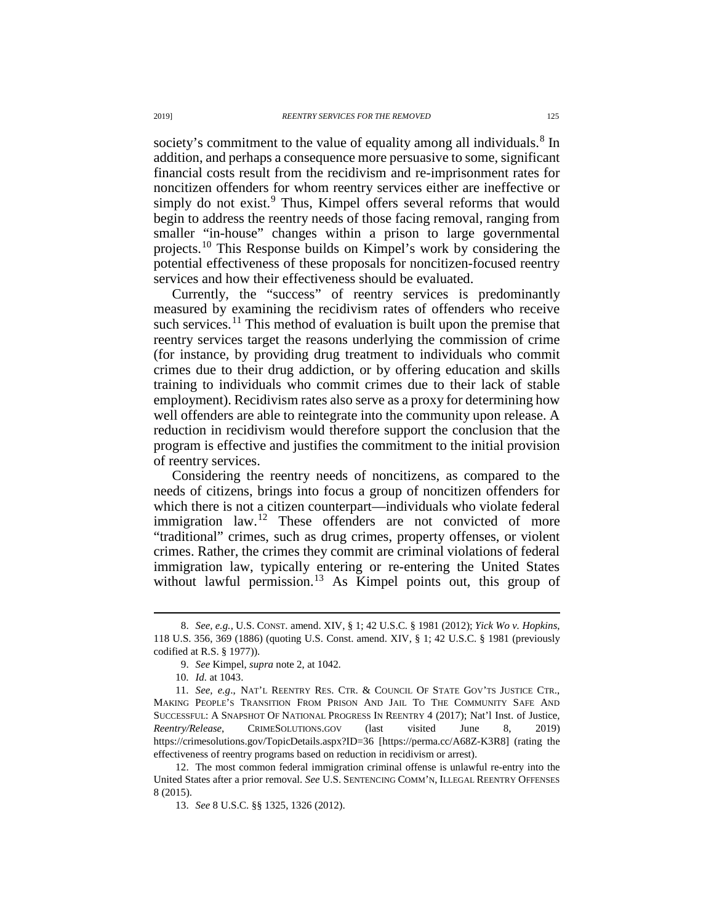society's commitment to the value of equality among all individuals.<sup>[8](#page-1-0)</sup> In addition, and perhaps a consequence more persuasive to some, significant financial costs result from the recidivism and re-imprisonment rates for noncitizen offenders for whom reentry services either are ineffective or simply do not exist.<sup>[9](#page-1-1)</sup> Thus, Kimpel offers several reforms that would begin to address the reentry needs of those facing removal, ranging from smaller "in-house" changes within a prison to large governmental projects.[10](#page-1-2) This Response builds on Kimpel's work by considering the potential effectiveness of these proposals for noncitizen-focused reentry services and how their effectiveness should be evaluated.

Currently, the "success" of reentry services is predominantly measured by examining the recidivism rates of offenders who receive such services.<sup>[11](#page-1-3)</sup> This method of evaluation is built upon the premise that reentry services target the reasons underlying the commission of crime (for instance, by providing drug treatment to individuals who commit crimes due to their drug addiction, or by offering education and skills training to individuals who commit crimes due to their lack of stable employment). Recidivism rates also serve as a proxy for determining how well offenders are able to reintegrate into the community upon release. A reduction in recidivism would therefore support the conclusion that the program is effective and justifies the commitment to the initial provision of reentry services.

<span id="page-1-6"></span>Considering the reentry needs of noncitizens, as compared to the needs of citizens, brings into focus a group of noncitizen offenders for which there is not a citizen counterpart—individuals who violate federal immigration law.<sup>[12](#page-1-4)</sup> These offenders are not convicted of more "traditional" crimes, such as drug crimes, property offenses, or violent crimes. Rather, the crimes they commit are criminal violations of federal immigration law, typically entering or re-entering the United States without lawful permission.<sup>[13](#page-1-5)</sup> As Kimpel points out, this group of

<span id="page-1-0"></span> <sup>8.</sup> *See, e.g.*, U.S. CONST. amend. XIV, § 1; 42 U.S.C. § 1981 (2012); *Yick Wo v. Hopkins*, 118 U.S. 356, 369 (1886) (quoting U.S. Const. amend. XIV, § 1; 42 U.S.C. § 1981 (previously codified at R.S. § 1977)).

<sup>9.</sup> *See* Kimpel, *supra* not[e 2,](#page-0-0) at 1042.

<sup>10.</sup> *Id.* at 1043.

<span id="page-1-3"></span><span id="page-1-2"></span><span id="page-1-1"></span><sup>11.</sup> *See, e.g*., NAT'L REENTRY RES. CTR. & COUNCIL OF STATE GOV'TS JUSTICE CTR., MAKING PEOPLE'S TRANSITION FROM PRISON AND JAIL TO THE COMMUNITY SAFE AND SUCCESSFUL: A SNAPSHOT OF NATIONAL PROGRESS IN REENTRY 4 (2017); Nat'l Inst. of Justice, *Reentry/Release*, CRIMESOLUTIONS.GOV (last visited June 8, 2019) https://crimesolutions.gov/TopicDetails.aspx?ID=36 [https://perma.cc/A68Z-K3R8] (rating the effectiveness of reentry programs based on reduction in recidivism or arrest).

<span id="page-1-5"></span><span id="page-1-4"></span><sup>12.</sup> The most common federal immigration criminal offense is unlawful re-entry into the United States after a prior removal. *See* U.S. SENTENCING COMM'N, ILLEGAL REENTRY OFFENSES 8 (2015).

<sup>13.</sup> *See* 8 U.S.C. §§ 1325, 1326 (2012).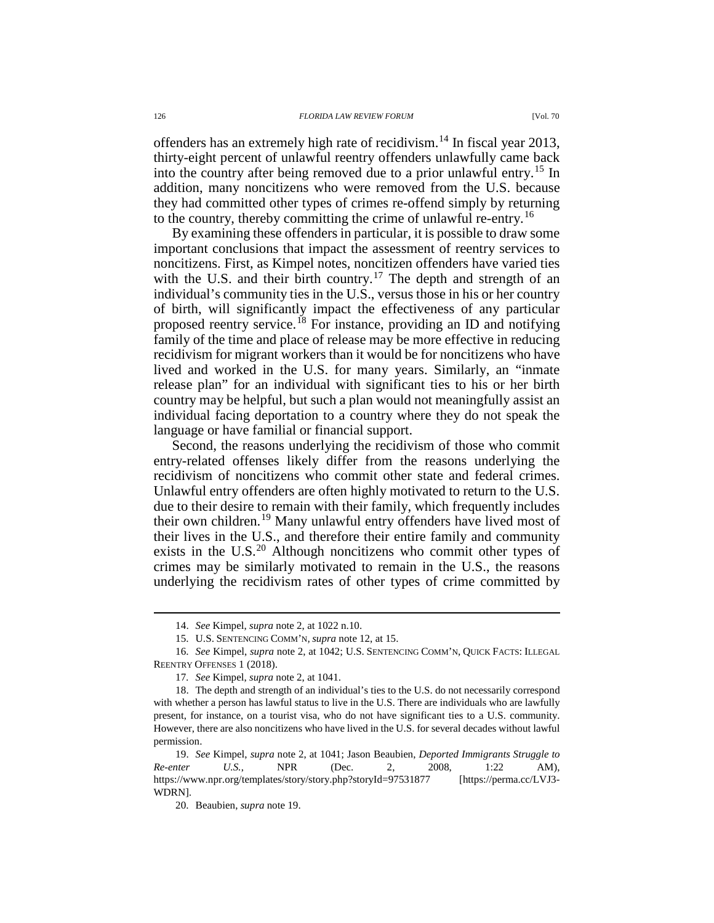offenders has an extremely high rate of recidivism.<sup>[14](#page-2-1)</sup> In fiscal year 2013, thirty-eight percent of unlawful reentry offenders unlawfully came back into the country after being removed due to a prior unlawful entry.<sup>[15](#page-2-2)</sup> In addition, many noncitizens who were removed from the U.S. because they had committed other types of crimes re-offend simply by returning to the country, thereby committing the crime of unlawful re-entry.<sup>[16](#page-2-3)</sup>

<span id="page-2-8"></span>By examining these offenders in particular, it is possible to draw some important conclusions that impact the assessment of reentry services to noncitizens. First, as Kimpel notes, noncitizen offenders have varied ties with the U.S. and their birth country.<sup>[17](#page-2-4)</sup> The depth and strength of an individual's community ties in the U.S., versus those in his or her country of birth, will significantly impact the effectiveness of any particular proposed reentry service.[18](#page-2-5) For instance, providing an ID and notifying family of the time and place of release may be more effective in reducing recidivism for migrant workers than it would be for noncitizens who have lived and worked in the U.S. for many years. Similarly, an "inmate release plan" for an individual with significant ties to his or her birth country may be helpful, but such a plan would not meaningfully assist an individual facing deportation to a country where they do not speak the language or have familial or financial support.

<span id="page-2-0"></span>Second, the reasons underlying the recidivism of those who commit entry-related offenses likely differ from the reasons underlying the recidivism of noncitizens who commit other state and federal crimes. Unlawful entry offenders are often highly motivated to return to the U.S. due to their desire to remain with their family, which frequently includes their own children.<sup>[19](#page-2-6)</sup> Many unlawful entry offenders have lived most of their lives in the U.S., and therefore their entire family and community exists in the  $U.S.<sup>20</sup>$  $U.S.<sup>20</sup>$  $U.S.<sup>20</sup>$  Although noncitizens who commit other types of crimes may be similarly motivated to remain in the U.S., the reasons underlying the recidivism rates of other types of crime committed by

 <sup>14.</sup> *See* Kimpel, *supra* not[e 2,](#page-0-0) at 1022 n.10.

<sup>15.</sup> U.S. SENTENCING COMM'N*, supra* not[e 12,](#page-1-6) at 15.

<span id="page-2-3"></span><span id="page-2-2"></span><span id="page-2-1"></span><sup>16.</sup> *See* Kimpel, *supra* note [2,](#page-0-0) at 1042; U.S. SENTENCING COMM'N, QUICK FACTS: ILLEGAL REENTRY OFFENSES 1 (2018).

<sup>17</sup>*. See* Kimpel, *supra* not[e 2,](#page-0-0) at 1041.

<span id="page-2-5"></span><span id="page-2-4"></span><sup>18.</sup> The depth and strength of an individual's ties to the U.S. do not necessarily correspond with whether a person has lawful status to live in the U.S. There are individuals who are lawfully present, for instance, on a tourist visa, who do not have significant ties to a U.S. community. However, there are also noncitizens who have lived in the U.S. for several decades without lawful permission.

<span id="page-2-7"></span><span id="page-2-6"></span><sup>19.</sup> *See* Kimpel, *supra* note [2,](#page-0-0) at 1041; Jason Beaubien, *Deported Immigrants Struggle to Re-enter U.S.*, NPR (Dec. 2, 2008, 1:22 AM), https://www.npr.org/templates/story/story.php?storyId=97531877 [https://perma.cc/LVJ3- WDRN]*.*

<sup>20.</sup> Beaubien, *supra* not[e 19.](#page-2-0)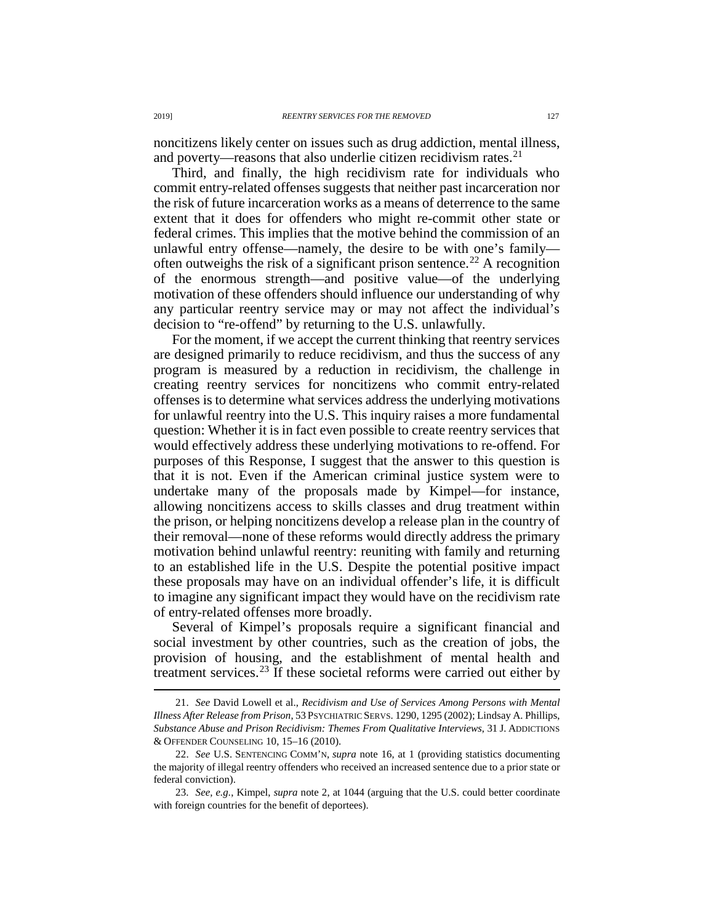noncitizens likely center on issues such as drug addiction, mental illness, and poverty—reasons that also underlie citizen recidivism rates. $^{21}$  $^{21}$  $^{21}$ 

Third, and finally, the high recidivism rate for individuals who commit entry-related offenses suggests that neither past incarceration nor the risk of future incarceration works as a means of deterrence to the same extent that it does for offenders who might re-commit other state or federal crimes. This implies that the motive behind the commission of an unlawful entry offense—namely, the desire to be with one's family— often outweighs the risk of a significant prison sentence.<sup>[22](#page-3-1)</sup> A recognition of the enormous strength—and positive value—of the underlying motivation of these offenders should influence our understanding of why any particular reentry service may or may not affect the individual's decision to "re-offend" by returning to the U.S. unlawfully.

For the moment, if we accept the current thinking that reentry services are designed primarily to reduce recidivism, and thus the success of any program is measured by a reduction in recidivism, the challenge in creating reentry services for noncitizens who commit entry-related offenses is to determine what services address the underlying motivations for unlawful reentry into the U.S. This inquiry raises a more fundamental question: Whether it is in fact even possible to create reentry services that would effectively address these underlying motivations to re-offend. For purposes of this Response, I suggest that the answer to this question is that it is not. Even if the American criminal justice system were to undertake many of the proposals made by Kimpel—for instance, allowing noncitizens access to skills classes and drug treatment within the prison, or helping noncitizens develop a release plan in the country of their removal—none of these reforms would directly address the primary motivation behind unlawful reentry: reuniting with family and returning to an established life in the U.S. Despite the potential positive impact these proposals may have on an individual offender's life, it is difficult to imagine any significant impact they would have on the recidivism rate of entry-related offenses more broadly.

Several of Kimpel's proposals require a significant financial and social investment by other countries, such as the creation of jobs, the provision of housing, and the establishment of mental health and treatment services. $^{23}$  $^{23}$  $^{23}$  If these societal reforms were carried out either by

<span id="page-3-0"></span> <sup>21.</sup> *See* David Lowell et al., *Recidivism and Use of Services Among Persons with Mental Illness After Release from Prison*, 53 PSYCHIATRIC SERVS. 1290, 1295 (2002); Lindsay A. Phillips, *Substance Abuse and Prison Recidivism: Themes From Qualitative Interviews*, 31 J. ADDICTIONS & OFFENDER COUNSELING 10, 15–16 (2010).

<span id="page-3-1"></span><sup>22.</sup> *See* U.S. SENTENCING COMM'N, *supra* note [16,](#page-2-8) at 1 (providing statistics documenting the majority of illegal reentry offenders who received an increased sentence due to a prior state or federal conviction).

<span id="page-3-2"></span><sup>23.</sup> *See, e.g.*, Kimpel, *supra* note [2,](#page-0-0) at 1044 (arguing that the U.S. could better coordinate with foreign countries for the benefit of deportees).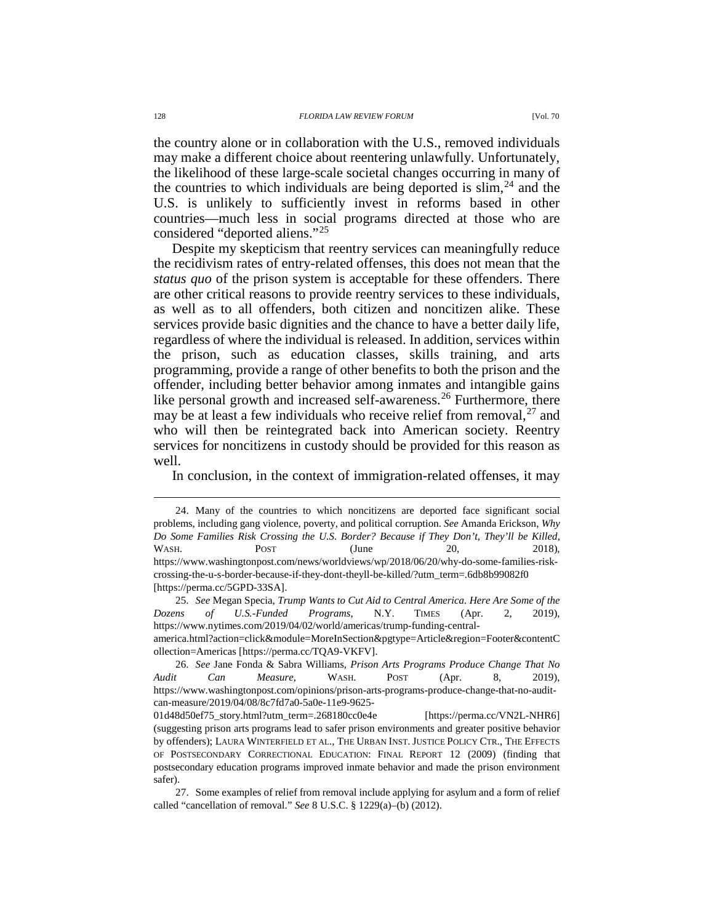the country alone or in collaboration with the U.S., removed individuals may make a different choice about reentering unlawfully. Unfortunately, the likelihood of these large-scale societal changes occurring in many of the countries to which individuals are being deported is  $\sin^{24}$  $\sin^{24}$  $\sin^{24}$  and the U.S. is unlikely to sufficiently invest in reforms based in other countries—much less in social programs directed at those who are considered "deported aliens."[25](#page-4-1)

Despite my skepticism that reentry services can meaningfully reduce the recidivism rates of entry-related offenses, this does not mean that the *status quo* of the prison system is acceptable for these offenders. There are other critical reasons to provide reentry services to these individuals, as well as to all offenders, both citizen and noncitizen alike. These services provide basic dignities and the chance to have a better daily life, regardless of where the individual is released. In addition, services within the prison, such as education classes, skills training, and arts programming, provide a range of other benefits to both the prison and the offender, including better behavior among inmates and intangible gains like personal growth and increased self-awareness.<sup>[26](#page-4-2)</sup> Furthermore, there may be at least a few individuals who receive relief from removal,  $27$  and who will then be reintegrated back into American society. Reentry services for noncitizens in custody should be provided for this reason as well.

<span id="page-4-4"></span>In conclusion, in the context of immigration-related offenses, it may

<span id="page-4-0"></span> <sup>24.</sup> Many of the countries to which noncitizens are deported face significant social problems, including gang violence, poverty, and political corruption. *See* Amanda Erickson, *Why Do Some Families Risk Crossing the U.S. Border? Because if They Don't, They'll be Killed*, WASH. POST (June 20, 2018), https://www.washingtonpost.com/news/worldviews/wp/2018/06/20/why-do-some-families-riskcrossing-the-u-s-border-because-if-they-dont-theyll-be-killed/?utm\_term=.6db8b99082f0 [https://perma.cc/5GPD-33SA].

<span id="page-4-1"></span><sup>25.</sup> *See* Megan Specia, *Trump Wants to Cut Aid to Central America. Here Are Some of the Dozens of U.S.-Funded Programs*, N.Y. TIMES (Apr. 2, 2019), https://www.nytimes.com/2019/04/02/world/americas/trump-funding-central-

america.html?action=click&module=MoreInSection&pgtype=Article&region=Footer&contentC ollection=Americas [https://perma.cc/TQA9-VKFV].

<span id="page-4-2"></span><sup>26.</sup> *See* Jane Fonda & Sabra Williams, *Prison Arts Programs Produce Change That No Audit Can Measure*, WASH. POST (Apr. 8, 2019), https://www.washingtonpost.com/opinions/prison-arts-programs-produce-change-that-no-auditcan-measure/2019/04/08/8c7fd7a0-5a0e-11e9-9625-

<sup>01</sup>d48d50ef75\_story.html?utm\_term=.268180cc0e4e [https://perma.cc/VN2L-NHR6] (suggesting prison arts programs lead to safer prison environments and greater positive behavior by offenders); LAURA WINTERFIELD ET AL., THE URBAN INST. JUSTICE POLICY CTR., THE EFFECTS OF POSTSECONDARY CORRECTIONAL EDUCATION: FINAL REPORT 12 (2009) (finding that postsecondary education programs improved inmate behavior and made the prison environment safer).

<span id="page-4-3"></span><sup>27.</sup> Some examples of relief from removal include applying for asylum and a form of relief called "cancellation of removal." *See* 8 U.S.C. § 1229(a)–(b) (2012).